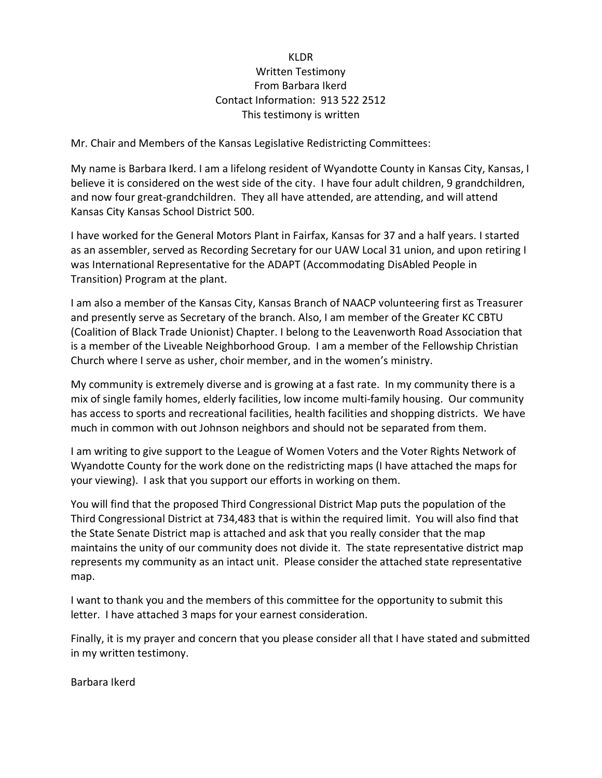## KLDR Written Testimony From Barbara Ikerd Contact Information: 913 522 2512 This testimony is written

Mr. Chair and Members of the Kansas Legislative Redistricting Committees:

My name is Barbara Ikerd. I am a lifelong resident of Wyandotte County in Kansas City, Kansas, I believe it is considered on the west side of the city. I have four adult children, 9 grandchildren, and now four great-grandchildren. They all have attended, are attending, and will attend Kansas City Kansas School District 500.

I have worked for the General Motors Plant in Fairfax, Kansas for 37 and a half years. I started as an assembler, served as Recording Secretary for our UAW Local 31 union, and upon retiring I was International Representative for the ADAPT (Accommodating DisAbled People in Transition) Program at the plant.

I am also a member of the Kansas City, Kansas Branch of NAACP volunteering first as Treasurer and presently serve as Secretary of the branch. Also, I am member of the Greater KC CBTU (Coalition of Black Trade Unionist) Chapter. I belong to the Leavenworth Road Association that is a member of the Liveable Neighborhood Group. I am a member of the Fellowship Christian Church where I serve as usher, choir member, and in the women's ministry.

My community is extremely diverse and is growing at a fast rate. In my community there is a mix of single family homes, elderly facilities, low income multi-family housing. Our community has access to sports and recreational facilities, health facilities and shopping districts. We have much in common with out Johnson neighbors and should not be separated from them.

I am writing to give support to the League of Women Voters and the Voter Rights Network of Wyandotte County for the work done on the redistricting maps (I have attached the maps for your viewing). I ask that you support our efforts in working on them.

You will find that the proposed Third Congressional District Map puts the population of the Third Congressional District at 734,483 that is within the required limit. You will also find that the State Senate District map is attached and ask that you really consider that the map maintains the unity of our community does not divide it. The state representative district map represents my community as an intact unit. Please consider the attached state representative map.

I want to thank you and the members of this committee for the opportunity to submit this letter. I have attached 3 maps for your earnest consideration.

Finally, it is my prayer and concern that you please consider all that I have stated and submitted in my written testimony.

Barbara Ikerd